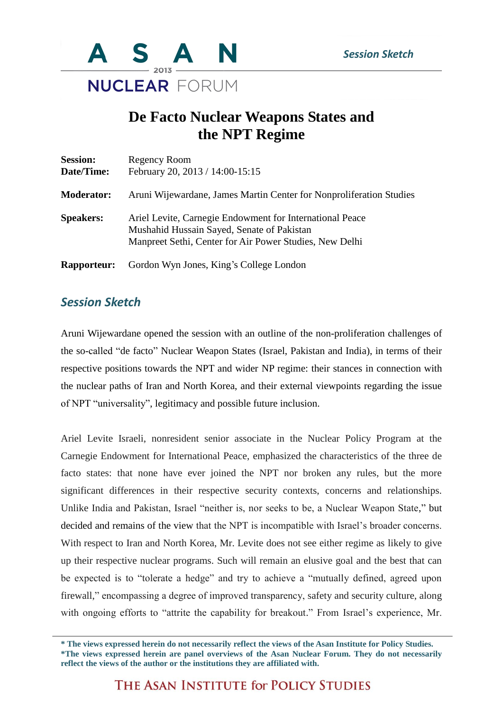

## **De Facto Nuclear Weapons States and the NPT Regime**

| <b>Session:</b><br>Date/Time: | Regency Room<br>February 20, 2013 / 14:00-15:15                                                                                                                   |
|-------------------------------|-------------------------------------------------------------------------------------------------------------------------------------------------------------------|
| <b>Moderator:</b>             | Aruni Wijewardane, James Martin Center for Nonproliferation Studies                                                                                               |
| <b>Speakers:</b>              | Ariel Levite, Carnegie Endowment for International Peace<br>Mushahid Hussain Sayed, Senate of Pakistan<br>Manpreet Sethi, Center for Air Power Studies, New Delhi |
| <b>Rapporteur:</b>            | Gordon Wyn Jones, King's College London                                                                                                                           |

## *Session Sketch*

Aruni Wijewardane opened the session with an outline of the non-proliferation challenges of the so-called "de facto" Nuclear Weapon States (Israel, Pakistan and India), in terms of their respective positions towards the NPT and wider NP regime: their stances in connection with the nuclear paths of Iran and North Korea, and their external viewpoints regarding the issue of NPT "universality", legitimacy and possible future inclusion.

Ariel Levite Israeli, nonresident senior associate in the Nuclear Policy Program at the Carnegie Endowment for International Peace, emphasized the characteristics of the three de facto states: that none have ever joined the NPT nor broken any rules, but the more significant differences in their respective security contexts, concerns and relationships. Unlike India and Pakistan, Israel "neither is, nor seeks to be, a Nuclear Weapon State," but decided and remains of the view that the NPT is incompatible with Israel's broader concerns. With respect to Iran and North Korea, Mr. Levite does not see either regime as likely to give up their respective nuclear programs. Such will remain an elusive goal and the best that can be expected is to "tolerate a hedge" and try to achieve a "mutually defined, agreed upon firewall," encompassing a degree of improved transparency, safety and security culture, along with ongoing efforts to "attrite the capability for breakout." From Israel's experience, Mr.

THE ASAN INSTITUTE for POLICY STUDIES

**<sup>\*</sup> The views expressed herein do not necessarily reflect the views of the Asan Institute for Policy Studies. \*The views expressed herein are panel overviews of the Asan Nuclear Forum. They do not necessarily reflect the views of the author or the institutions they are affiliated with.**